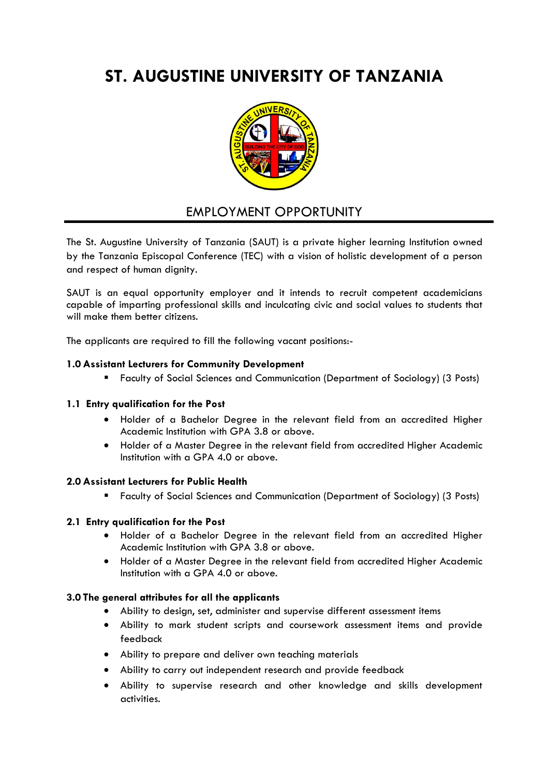# **ST. AUGUSTINE UNIVERSITY OF TANZANIA**



# EMPLOYMENT OPPORTUNITY

The St. Augustine University of Tanzania (SAUT) is a private higher learning Institution owned by the Tanzania Episcopal Conference (TEC) with a vision of holistic development of a person and respect of human dianity.

SAUT is an equal opportunity employer and it intends to recruit competent academicians capable of imparting professional skills and inculcating civic and social values to students that will make them better citizens.

The applicants are required to fill the following vacant positions:-

# **1.0 Assistant Lecturers for Community Development**

Faculty of Social Sciences and Communication (Department of Sociology) (3 Posts)

#### **1.1 Entry qualification for the Post**

- Holder of a Bachelor Degree in the relevant field from an accredited Higher Academic Institution with GPA 3.8 or above.
- Holder of a Master Degree in the relevant field from accredited Higher Academic Institution with a GPA 4.0 or above.

#### **2.0 Assistant Lecturers for Public Health**

Faculty of Social Sciences and Communication (Department of Sociology) (3 Posts)

# **2.1 Entry qualification for the Post**

- Holder of a Bachelor Degree in the relevant field from an accredited Higher Academic Institution with GPA 3.8 or above.
- Holder of a Master Degree in the relevant field from accredited Higher Academic Institution with a GPA 4.0 or above.

#### **3.0 The general attributes for all the applicants**

- Ability to design, set, administer and supervise different assessment items
- Ability to mark student scripts and coursework assessment items and provide feedback
- Ability to prepare and deliver own teaching materials
- Ability to carry out independent research and provide feedback
- Ability to supervise research and other knowledge and skills development activities.